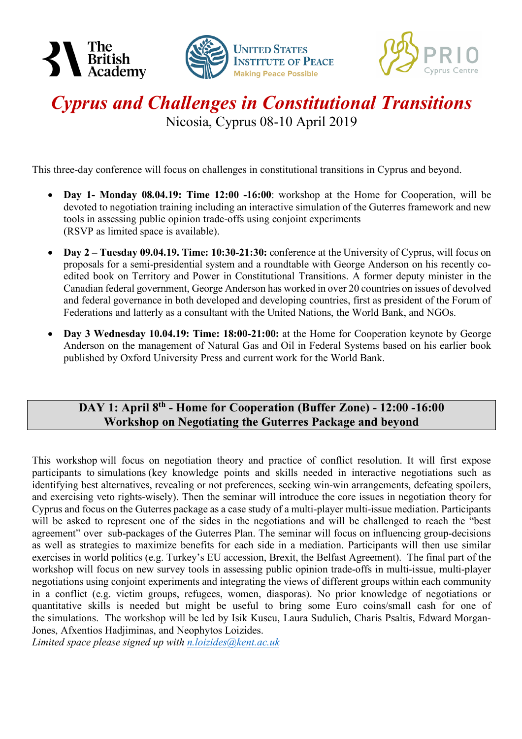





## *Cyprus and Challenges in Constitutional Transitions* Nicosia, Cyprus 08-10 April 2019

This three-day conference will focus on challenges in constitutional transitions in Cyprus and beyond.

- **Day 1- Monday 08.04.19: Time 12:00 -16:00**: workshop at the Home for Cooperation, will be devoted to negotiation training including an interactive simulation of the Guterres framework and new tools in assessing public opinion trade-offs using conjoint experiments (RSVP as limited space is available).
- **Day 2 – Tuesday 09.04.19. Time: 10:30-21:30:** conference at the University of Cyprus, will focus on proposals for a semi-presidential system and a roundtable with George Anderson on his recently coedited book on Territory and Power in Constitutional Transitions. A former deputy minister in the Canadian federal government, George Anderson has worked in over 20 countries on issues of devolved and federal governance in both developed and developing countries, first as president of the Forum of Federations and latterly as a consultant with the United Nations, the World Bank, and NGOs.
- **Day 3 Wednesday 10.04.19: Time: 18:00-21:00:** at the Home for Cooperation keynote by George Anderson on the management of Natural Gas and Oil in Federal Systems based on his earlier book published by Oxford University Press and current work for the World Bank.

### **DAY 1: April 8th - Home for Cooperation (Buffer Zone) - 12:00 -16:00 Workshop on Negotiating the Guterres Package and beyond**

This workshop will focus on negotiation theory and practice of conflict resolution. It will first expose participants to simulations (key knowledge points and skills needed in interactive negotiations such as identifying best alternatives, revealing or not preferences, seeking win-win arrangements, defeating spoilers, and exercising veto rights-wisely). Then the seminar will introduce the core issues in negotiation theory for Cyprus and focus on the Guterres package as a case study of a multi-player multi-issue mediation. Participants will be asked to represent one of the sides in the negotiations and will be challenged to reach the "best agreement" over sub-packages of the Guterres Plan. The seminar will focus on influencing group-decisions as well as strategies to maximize benefits for each side in a mediation. Participants will then use similar exercises in world politics (e.g. Turkey's EU accession, Brexit, the Belfast Agreement). The final part of the workshop will focus on new survey tools in assessing public opinion trade-offs in multi-issue, multi-player negotiations using conjoint experiments and integrating the views of different groups within each community in a conflict (e.g. victim groups, refugees, women, diasporas). No prior knowledge of negotiations or quantitative skills is needed but might be useful to bring some Euro coins/small cash for one of the simulations. The workshop will be led by Isik Kuscu, Laura Sudulich, Charis Psaltis, Edward Morgan-Jones, Afxentios Hadjiminas, and Neophytos Loizides.

*Limited space please signed up with n.loizides@kent.ac.uk*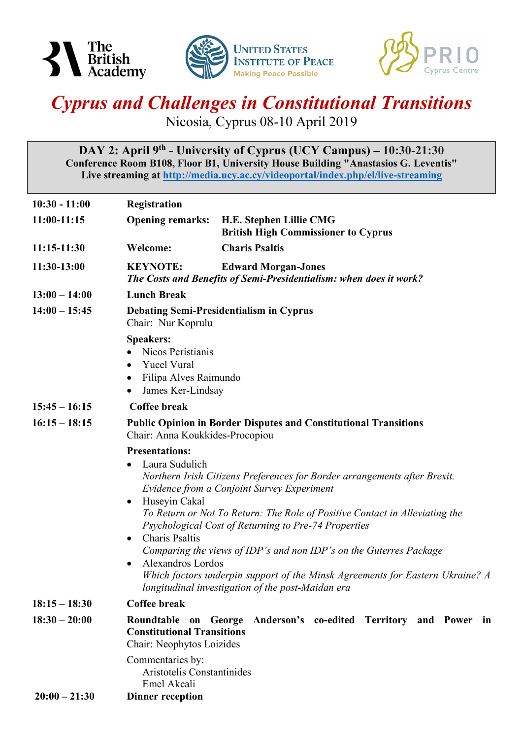





# *Cyprus and Challenges in Constitutional Transitions*

Nicosia, Cyprus 08-10 April 2019

**DAY 2: April 9th - University of Cyprus (UCY Campus) – 10:30-21:30 Conference Room B108, Floor B1, University House Building "Anastasios G. Leventis" Live streaming at http://media.ucy.ac.cy/videoportal/index.php/el/live-streaming**

| $10:30 - 11:00$ | Registration                                                                                                                                                                                                                                                                                                                                                                                                                                                                                                                                                                                                                |                                                                                                  |  |
|-----------------|-----------------------------------------------------------------------------------------------------------------------------------------------------------------------------------------------------------------------------------------------------------------------------------------------------------------------------------------------------------------------------------------------------------------------------------------------------------------------------------------------------------------------------------------------------------------------------------------------------------------------------|--------------------------------------------------------------------------------------------------|--|
| 11:00-11:15     | <b>Opening remarks:</b>                                                                                                                                                                                                                                                                                                                                                                                                                                                                                                                                                                                                     | H.E. Stephen Lillie CMG<br><b>British High Commissioner to Cyprus</b>                            |  |
| 11:15-11:30     | <b>Welcome:</b>                                                                                                                                                                                                                                                                                                                                                                                                                                                                                                                                                                                                             | <b>Charis Psaltis</b>                                                                            |  |
| 11:30-13:00     | <b>KEYNOTE:</b>                                                                                                                                                                                                                                                                                                                                                                                                                                                                                                                                                                                                             | <b>Edward Morgan-Jones</b><br>The Costs and Benefits of Semi-Presidentialism: when does it work? |  |
| $13:00 - 14:00$ | <b>Lunch Break</b>                                                                                                                                                                                                                                                                                                                                                                                                                                                                                                                                                                                                          |                                                                                                  |  |
| $14:00 - 15:45$ | <b>Debating Semi-Presidentialism in Cyprus</b><br>Chair: Nur Koprulu                                                                                                                                                                                                                                                                                                                                                                                                                                                                                                                                                        |                                                                                                  |  |
|                 | <b>Speakers:</b><br>Nicos Peristianis<br><b>Yucel Vural</b><br>Filipa Alves Raimundo<br>$\bullet$<br>James Ker-Lindsay                                                                                                                                                                                                                                                                                                                                                                                                                                                                                                      |                                                                                                  |  |
| $15:45 - 16:15$ | <b>Coffee break</b>                                                                                                                                                                                                                                                                                                                                                                                                                                                                                                                                                                                                         |                                                                                                  |  |
| $16:15 - 18:15$ | <b>Public Opinion in Border Disputes and Constitutional Transitions</b><br>Chair: Anna Koukkides-Procopiou                                                                                                                                                                                                                                                                                                                                                                                                                                                                                                                  |                                                                                                  |  |
|                 | <b>Presentations:</b><br>Laura Sudulich<br>Northern Irish Citizens Preferences for Border arrangements after Brexit.<br>Evidence from a Conjoint Survey Experiment<br>Huseyin Cakal<br>$\bullet$<br>To Return or Not To Return: The Role of Positive Contact in Alleviating the<br>Psychological Cost of Returning to Pre-74 Properties<br><b>Charis Psaltis</b><br>$\bullet$<br>Comparing the views of IDP's and non IDP's on the Guterres Package<br>Alexandros Lordos<br>$\bullet$<br>Which factors underpin support of the Minsk Agreements for Eastern Ukraine? A<br>longitudinal investigation of the post-Maidan era |                                                                                                  |  |
| $18:15 - 18:30$ | <b>Coffee break</b>                                                                                                                                                                                                                                                                                                                                                                                                                                                                                                                                                                                                         |                                                                                                  |  |
| $18:30 - 20:00$ | <b>Constitutional Transitions</b><br>Chair: Neophytos Loizides                                                                                                                                                                                                                                                                                                                                                                                                                                                                                                                                                              | Roundtable on George Anderson's co-edited Territory and Power in                                 |  |
|                 | Commentaries by:<br>Aristotelis Constantinides<br>Emel Akcali                                                                                                                                                                                                                                                                                                                                                                                                                                                                                                                                                               |                                                                                                  |  |
| $20:00 - 21:30$ | <b>Dinner reception</b>                                                                                                                                                                                                                                                                                                                                                                                                                                                                                                                                                                                                     |                                                                                                  |  |